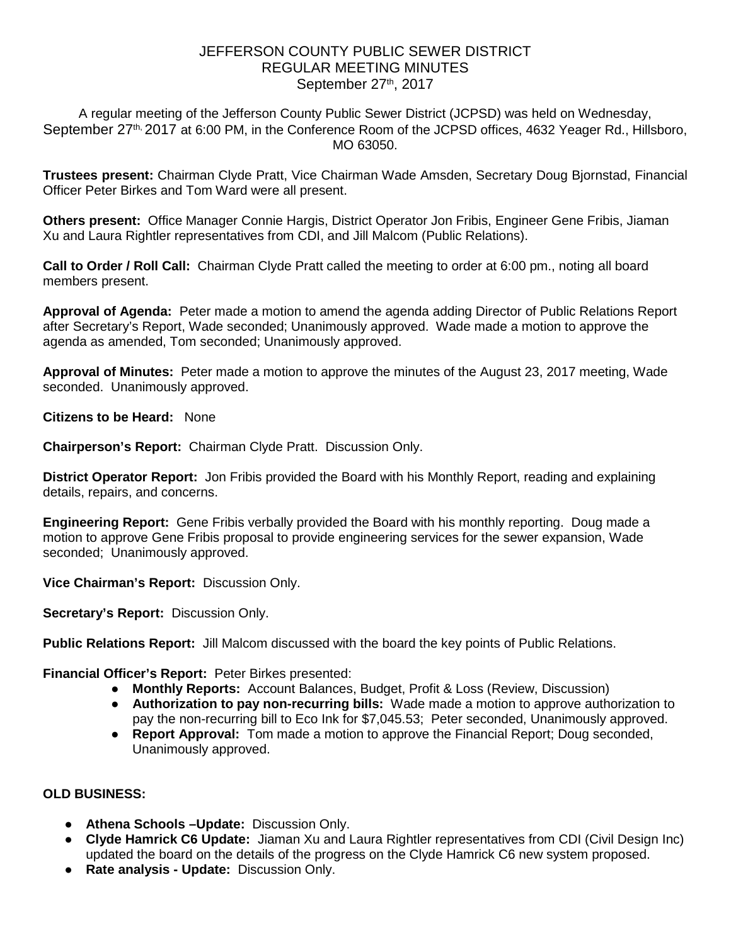## JEFFERSON COUNTY PUBLIC SEWER DISTRICT REGULAR MEETING MINUTES September 27th, 2017

A regular meeting of the Jefferson County Public Sewer District (JCPSD) was held on Wednesday, September 27<sup>th,</sup> 2017 at 6:00 PM, in the Conference Room of the JCPSD offices, 4632 Yeager Rd., Hillsboro, MO 63050.

**Trustees present:** Chairman Clyde Pratt, Vice Chairman Wade Amsden, Secretary Doug Bjornstad, Financial Officer Peter Birkes and Tom Ward were all present.

**Others present:** Office Manager Connie Hargis, District Operator Jon Fribis, Engineer Gene Fribis, Jiaman Xu and Laura Rightler representatives from CDI, and Jill Malcom (Public Relations).

**Call to Order / Roll Call:** Chairman Clyde Pratt called the meeting to order at 6:00 pm., noting all board members present.

**Approval of Agenda:** Peter made a motion to amend the agenda adding Director of Public Relations Report after Secretary's Report, Wade seconded; Unanimously approved. Wade made a motion to approve the agenda as amended, Tom seconded; Unanimously approved.

**Approval of Minutes:** Peter made a motion to approve the minutes of the August 23, 2017 meeting, Wade seconded. Unanimously approved.

**Citizens to be Heard:** None

**Chairperson's Report:** Chairman Clyde Pratt. Discussion Only.

**District Operator Report:** Jon Fribis provided the Board with his Monthly Report, reading and explaining details, repairs, and concerns.

**Engineering Report:** Gene Fribis verbally provided the Board with his monthly reporting. Doug made a motion to approve Gene Fribis proposal to provide engineering services for the sewer expansion, Wade seconded; Unanimously approved.

**Vice Chairman's Report:** Discussion Only.

**Secretary's Report:** Discussion Only.

**Public Relations Report:** Jill Malcom discussed with the board the key points of Public Relations.

**Financial Officer's Report:** Peter Birkes presented:

- **Monthly Reports:** Account Balances, Budget, Profit & Loss (Review, Discussion)
- **Authorization to pay non-recurring bills:** Wade made a motion to approve authorization to pay the non-recurring bill to Eco Ink for \$7,045.53; Peter seconded, Unanimously approved.
- **Report Approval:** Tom made a motion to approve the Financial Report; Doug seconded, Unanimously approved.

## **OLD BUSINESS:**

- **Athena Schools –Update:** Discussion Only.
- **Clyde Hamrick C6 Update:** Jiaman Xu and Laura Rightler representatives from CDI (Civil Design Inc) updated the board on the details of the progress on the Clyde Hamrick C6 new system proposed.
- **Rate analysis - Update:** Discussion Only.